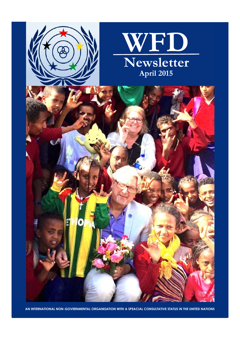

**AN INTERNATIONAL NON-GOVERNMENTAL ORGANISATION WITH A SPEACIAL CONSULTATIVE STATUS IN THE UNITED NATIONS**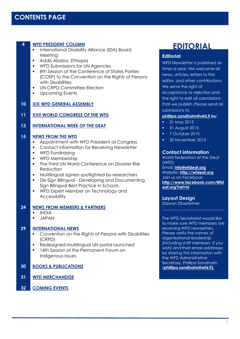| 4  | <b>WFD PRESIDENT COLUMN</b>                                                                                              | <b>EDITORIAL</b>                                        |
|----|--------------------------------------------------------------------------------------------------------------------------|---------------------------------------------------------|
|    | International Disability Alliance (IDA) Board<br>٠<br>Meeting                                                            | <b>Editorial</b>                                        |
|    | Addis Ababa, Ethiopia<br>$\blacksquare$                                                                                  | WFD Newsletter is published six                         |
|    | WFD Submissions for UN Agencies<br>٠                                                                                     | times a year. We welcome all                            |
|    | 8th Session of the Conference of States Parties<br>$\blacksquare$                                                        | news, articles, letters to the                          |
|    | (COSP) to the Convention on the Rights of Persons                                                                        | editor, and other contributions.                        |
|    | with Disabilities                                                                                                        | We serve the right of                                   |
|    | UN CRPD Committee Election<br>$\blacksquare$<br><b>Upcoming Events</b><br>٠                                              | acceptance or rejection and                             |
|    |                                                                                                                          | the right to edit all submissions                       |
| 10 | <b>XIX WFD GENERAL ASSEMBLY</b>                                                                                          | that we publish. Please send all                        |
|    |                                                                                                                          | submissions to                                          |
| 11 | <b>XVII WORLD CONGRESS OF THE WFD</b>                                                                                    | phillipa.sandholm@wfd.fi_by:                            |
| 13 | <b>INTERNATIONAL WEEK OF THE DEAF</b>                                                                                    | 31 May 2015<br>ò,                                       |
|    |                                                                                                                          | 31 August 2015<br>$\blacksquare$                        |
| 15 | <b>NEWS FROM THE WFD</b>                                                                                                 | 7 October 2015<br>$\blacksquare$                        |
|    | Appointment with WFD President at Congress<br>٠                                                                          | 30 November 2015<br>ш                                   |
|    | Contact Information for Receiving Newsletter                                                                             |                                                         |
|    | <b>WFD Fundraising</b><br>٠                                                                                              | <b>Contact information</b>                              |
|    | WFD Membership<br>$\blacksquare$                                                                                         | World Federation of the Deaf<br>(WFD)                   |
|    | The Third UN World Conference on Disaster Risk<br>$\blacksquare$<br>Reduction                                            | Email: <i>info@wfdeaf.org</i>                           |
|    | Multilingual signers spotlighted by researchers<br>$\blacksquare$                                                        | Website: http://wfdeaf.org                              |
|    | De-Sign Bilingual - Developing and Documenting<br>$\blacksquare$                                                         | Join us on Facebook:                                    |
|    | Sign Bilingual Best Practice in Schools                                                                                  | http://www.facebook.com/Wfd<br>eaf.org?ref=hl           |
|    | WFD Expert Member on Technology and                                                                                      |                                                         |
|    | Accessibility                                                                                                            | <b>Layout Design</b>                                    |
|    |                                                                                                                          | Dawan Oberleitner                                       |
| 24 | <b>NEWS FROM MEMBERS &amp; PARTNERS</b><br><b>INDIA</b>                                                                  |                                                         |
|    | <b>JAPAN</b>                                                                                                             | The WFD Secretariat would like                          |
|    |                                                                                                                          | to make sure WFD members are                            |
| 29 | <b>INTERNATIONAL NEWS</b>                                                                                                | receiving WFD newsletters.                              |
|    | Convention on the Rights of Persons with Disabilities                                                                    | Please verify the names of<br>organisational leadership |
|    | (CRPD)                                                                                                                   | (including staff members, if you                        |
|    | Redesigned multilingual UN portal launched<br>$\blacksquare$<br>14th Session of the Permanent Forum on<br>$\blacksquare$ | wish) and their email addresses                         |
|    | Indigenous Issues                                                                                                        | by sharing this information with                        |
|    |                                                                                                                          | the WFD Administrative<br>Secretary, Phillipa Sandholm, |
| 30 | <b>BOOKS &amp; PUBLICATIONS</b>                                                                                          | <u>(phillipa.sandholm@wfd.fi).</u>                      |
|    |                                                                                                                          |                                                         |
| 31 | <b>WFD MERCHANDISE</b>                                                                                                   |                                                         |

#### **[phillipa.sandholm@wfd.fi](mailto:phillipa.sandholm@wfd.fi) by:**

- 
- 
- $2015$

#### **Contact information**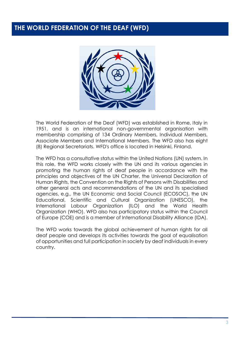## **THE WORLD FEDERATION OF THE DEAF (WFD)**



The World Federation of the Deaf (WFD) was established in Rome, Italy in 1951, and is an international non-governmental organisation with membership comprising of 134 Ordinary Members, Individual Members, Associate Members and International Members. The WFD also has eight (8) Regional Secretariats. WFD's office is located in Helsinki, Finland.

The WFD has a consultative status within the United Nations (UN) system. In this role, the WFD works closely with the UN and its various agencies in promoting the human rights of deaf people in accordance with the principles and objectives of the UN Charter, the Universal Declaration of Human Rights, the Convention on the Rights of Persons with Disabilities and other general acts and recommendations of the UN and its specialised agencies, e.g., the UN Economic and Social Council (ECOSOC), the UN Educational, Scientific and Cultural Organization (UNESCO), the International Labour Organization (ILO) and the World Health Organization (WHO). WFD also has participatory status within the Council of Europe (COE) and is a member of International Disability Alliance (IDA).

The WFD works towards the global achievement of human rights for all deaf people and develops its activities towards the goal of equalisation of opportunities and full participation in society by deaf individuals in every country.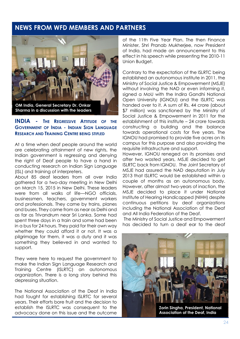### <span id="page-3-0"></span>**NEWS FROM WFD MEMBERS AND PARTNERS**



### **INDIA - THE REGRESSIVE ATTITUDE OF THE GOVERNMENT OF INDIA - INDIAN SIGN LANGUAGE RESEARCH AND TRAINING CENTRE BEING STIFLED**

At a time when deaf people around the world are celebrating attainment of new rights, the Indian government is regressing and denying the right of Deaf people to have a hand in conducting research on Indian Sign Language (ISL) and training of interpreters.

About 85 deaf leaders from all over India gathered for a two-day meeting in New Delhi on March 15, 2015 in New Delhi. These leaders were from all walks of life—NGO officials, businessmen, teachers, government workers and professionals. They came by trains, planes and buses. They came from as near as Delhi and as far as Trivandrum near Sri Lanka. Some had spent three days in a train and some had been in a bus for 24 hours. They paid for their own way whether they could afford it or not. It was a pilgrimage for them, it was a duty and it was something they believed in and wanted to support.

They were here to request the government to make the Indian Sign Language Research and Training Centre (ISLRTC) an autonomous organization. There is a long story behind this depressing situation.

The National Association of the Deaf in India had fought for establishing ISLRTC for several years. Their efforts bore fruit and the decision to establish the ISLRTC was consequent to the advocacy done on this issue and the outcome

of the 11th Five Year Plan. The then Finance Minister, Shri Pranab Mukherjee, now President of India, had made an announcement to this effect in his speech while presenting the 2010-11 Union Budget.

Contrary to the expectation of the ISLRTC being established an autonomous institute in 2011, the Ministry of Social Justice & Empowerment (MSJE) without involving the NAD or even informing it, signed a MoU with the Indira Gandhi National Open University (IGNOU) and the ISLRTC was handed over to it. A sum of Rs. 44 crore (about \$7 million) was sanctioned by the Ministry of Social Justice & Empowerment in 2011 for the establishment of this institute – 24 crore towards constructing a building and the balance towards operational costs for five years. The IGNOU had promised to provide five acres on its campus for this purpose and also providing the requisite infrastructure and support.

However, IGNOU reneged on its promises and after two wasted years, MSJE decided to get ISLRTC back from IGNOU. The Joint Secretary of MSJE had assured the NAD deputation in July 2013 that ISLRTC would be established within a couple of months as an autonomous body. However, after almost two-years of inaction, the MSJE decided to place it under National Institute of Hearing Handicapped (NIHH) despite continuous petitions by deaf organizations including the National Association of the Deaf and All India Federation of the Deaf.

The Ministry of Social Justice and Empowerment has decided to turn a deaf ear to the deaf



**Zorin Singha, President, National Association of the Deaf, India**